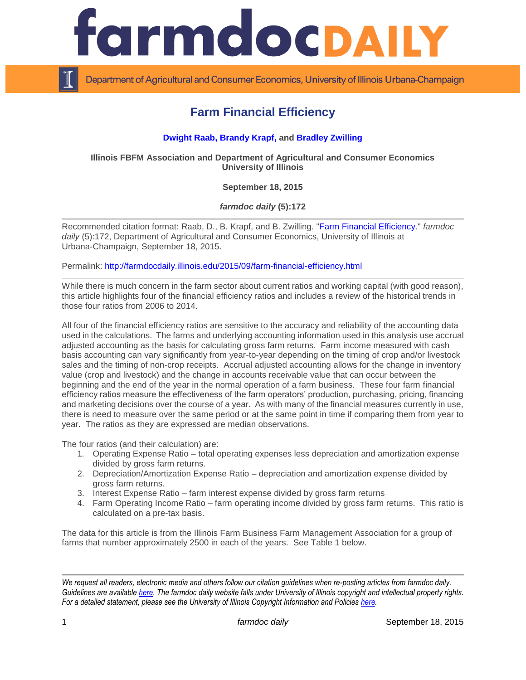

Department of Agricultural and Consumer Economics, University of Illinois Urbana-Champaign

## **Farm Financial Efficiency**

## **[Dwight Raab, Brandy Krapf,](http://fbfm.ace.uiuc.edu/statestf.htm) and [Bradley Zwilling](http://fbfm.ace.uiuc.edu/statestf.htm)**

**Illinois FBFM Association and Department of Agricultural and Consumer Economics University of Illinois**

**September 18, 2015**

*farmdoc daily* **(5):172**

Recommended citation format: Raab, D., B. Krapf, and B. Zwilling. ["Farm Financial Efficiency.](http://farmdocdaily.illinois.edu/2015/09/farm-financial-efficiency.html)" *farmdoc daily* (5):172, Department of Agricultural and Consumer Economics, University of Illinois at Urbana-Champaign, September 18, 2015.

Permalink: <http://farmdocdaily.illinois.edu/2015/09/farm-financial-efficiency.html>

While there is much concern in the farm sector about current ratios and working capital (with good reason), this article highlights four of the financial efficiency ratios and includes a review of the historical trends in those four ratios from 2006 to 2014.

All four of the financial efficiency ratios are sensitive to the accuracy and reliability of the accounting data used in the calculations. The farms and underlying accounting information used in this analysis use accrual adjusted accounting as the basis for calculating gross farm returns. Farm income measured with cash basis accounting can vary significantly from year-to-year depending on the timing of crop and/or livestock sales and the timing of non-crop receipts. Accrual adjusted accounting allows for the change in inventory value (crop and livestock) and the change in accounts receivable value that can occur between the beginning and the end of the year in the normal operation of a farm business. These four farm financial efficiency ratios measure the effectiveness of the farm operators' production, purchasing, pricing, financing and marketing decisions over the course of a year. As with many of the financial measures currently in use, there is need to measure over the same period or at the same point in time if comparing them from year to year. The ratios as they are expressed are median observations.

The four ratios (and their calculation) are:

- 1. Operating Expense Ratio total operating expenses less depreciation and amortization expense divided by gross farm returns.
- 2. Depreciation/Amortization Expense Ratio depreciation and amortization expense divided by gross farm returns.
- 3. Interest Expense Ratio farm interest expense divided by gross farm returns
- 4. Farm Operating Income Ratio farm operating income divided by gross farm returns. This ratio is calculated on a pre-tax basis.

The data for this article is from the Illinois Farm Business Farm Management Association for a group of farms that number approximately 2500 in each of the years. See Table 1 below.

*We request all readers, electronic media and others follow our citation guidelines when re-posting articles from farmdoc daily. Guidelines are available [here.](http://farmdocdaily.illinois.edu/citationguide.html) The farmdoc daily website falls under University of Illinois copyright and intellectual property rights. For a detailed statement, please see the University of Illinois Copyright Information and Policies [here.](http://www.cio.illinois.edu/policies/copyright/)*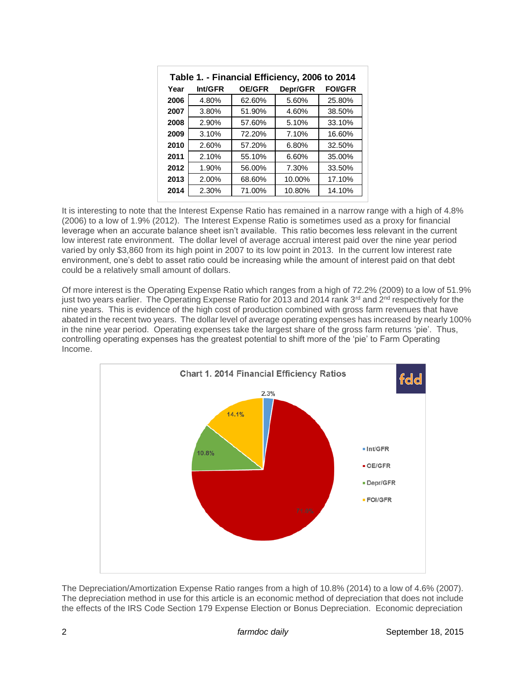| Table 1. - Financial Efficiency, 2006 to 2014 |         |               |          |               |
|-----------------------------------------------|---------|---------------|----------|---------------|
| Year                                          | Int/GFR | <b>OE/GFR</b> | Depr/GFR | <b>FOVGFR</b> |
| 2006                                          | 4.80%   | 62.60%        | 5.60%    | 25.80%        |
| 2007                                          | 3.80%   | 51.90%        | 4.60%    | 38.50%        |
| 2008                                          | 2.90%   | 57.60%        | 5.10%    | 33.10%        |
| 2009                                          | 3.10%   | 72.20%        | 7.10%    | 16.60%        |
| 2010                                          | 2.60%   | 57.20%        | 6.80%    | 32.50%        |
| 2011                                          | 2.10%   | 55.10%        | 6.60%    | 35.00%        |
| 2012                                          | 1.90%   | 56.00%        | 7.30%    | 33.50%        |
| 2013                                          | 2.00%   | 68.60%        | 10.00%   | 17.10%        |
| 2014                                          | 2.30%   | 71.00%        | 10.80%   | 14.10%        |

It is interesting to note that the Interest Expense Ratio has remained in a narrow range with a high of 4.8% (2006) to a low of 1.9% (2012). The Interest Expense Ratio is sometimes used as a proxy for financial leverage when an accurate balance sheet isn't available. This ratio becomes less relevant in the current low interest rate environment. The dollar level of average accrual interest paid over the nine year period varied by only \$3,860 from its high point in 2007 to its low point in 2013. In the current low interest rate environment, one's debt to asset ratio could be increasing while the amount of interest paid on that debt could be a relatively small amount of dollars.

Of more interest is the Operating Expense Ratio which ranges from a high of 72.2% (2009) to a low of 51.9% just two years earlier. The Operating Expense Ratio for 2013 and 2014 rank 3<sup>rd</sup> and 2<sup>nd</sup> respectively for the nine years. This is evidence of the high cost of production combined with gross farm revenues that have abated in the recent two years. The dollar level of average operating expenses has increased by nearly 100% in the nine year period. Operating expenses take the largest share of the gross farm returns 'pie'. Thus, controlling operating expenses has the greatest potential to shift more of the 'pie' to Farm Operating Income.



The Depreciation/Amortization Expense Ratio ranges from a high of 10.8% (2014) to a low of 4.6% (2007). The depreciation method in use for this article is an economic method of depreciation that does not include the effects of the IRS Code Section 179 Expense Election or Bonus Depreciation. Economic depreciation